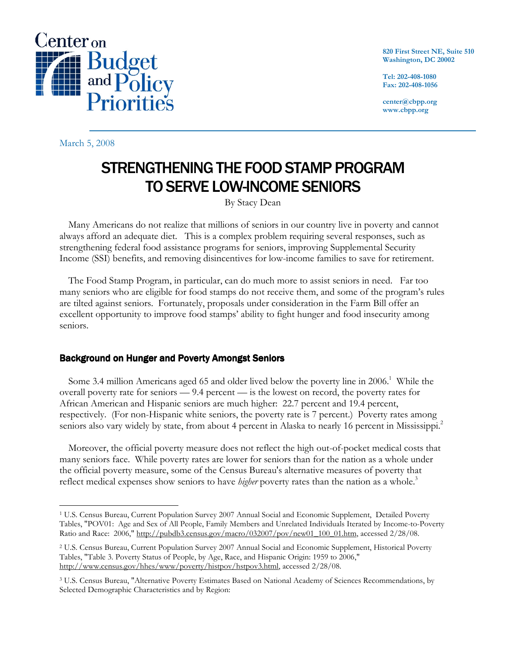

March 5, 2008

820 First Street NE, Suite 510 Washington, DC 20002

Tel: 202-408-1080 Fax: 202-408-1056

center@cbpp.org www.cbpp.org

## STRENGTHENING THE FOOD STAMP PROGRAM TO SERVE LOW-INCOME SENIORS

By Stacy Dean

Many Americans do not realize that millions of seniors in our country live in poverty and cannot always afford an adequate diet. This is a complex problem requiring several responses, such as strengthening federal food assistance programs for seniors, improving Supplemental Security Income (SSI) benefits, and removing disincentives for low-income families to save for retirement.

The Food Stamp Program, in particular, can do much more to assist seniors in need. Far too many seniors who are eligible for food stamps do not receive them, and some of the program's rules are tilted against seniors. Fortunately, proposals under consideration in the Farm Bill offer an excellent opportunity to improve food stamps' ability to fight hunger and food insecurity among seniors.

## Background on Hunger and Poverty Amongst Seniors

Some 3.4 million Americans aged 65 and older lived below the poverty line in 2006.<sup>1</sup> While the overall poverty rate for seniors — 9.4 percent — is the lowest on record, the poverty rates for African American and Hispanic seniors are much higher: 22.7 percent and 19.4 percent, respectively. (For non-Hispanic white seniors, the poverty rate is 7 percent.) Poverty rates among seniors also vary widely by state, from about 4 percent in Alaska to nearly 16 percent in Mississippi.<sup>2</sup>

Moreover, the official poverty measure does not reflect the high out-of-pocket medical costs that many seniors face. While poverty rates are lower for seniors than for the nation as a whole under the official poverty measure, some of the Census Bureau's alternative measures of poverty that reflect medical expenses show seniors to have *higher* poverty rates than the nation as a whole.<sup>3</sup>

 $\overline{a}$ <sup>1</sup> U.S. Census Bureau, Current Population Survey 2007 Annual Social and Economic Supplement, Detailed Poverty Tables, "POV01: Age and Sex of All People, Family Members and Unrelated Individuals Iterated by Income-to-Poverty Ratio and Race: 2006," http://pubdb3.census.gov/macro/032007/pov/new01\_100\_01.htm, accessed 2/28/08.

<sup>2</sup> U.S. Census Bureau, Current Population Survey 2007 Annual Social and Economic Supplement, Historical Poverty Tables, "Table 3. Poverty Status of People, by Age, Race, and Hispanic Origin: 1959 to 2006," http://www.census.gov/hhes/www/poverty/histpov/hstpov3.html, accessed 2/28/08.

<sup>&</sup>lt;sup>3</sup> U.S. Census Bureau, "Alternative Poverty Estimates Based on National Academy of Sciences Recommendations, by Selected Demographic Characteristics and by Region: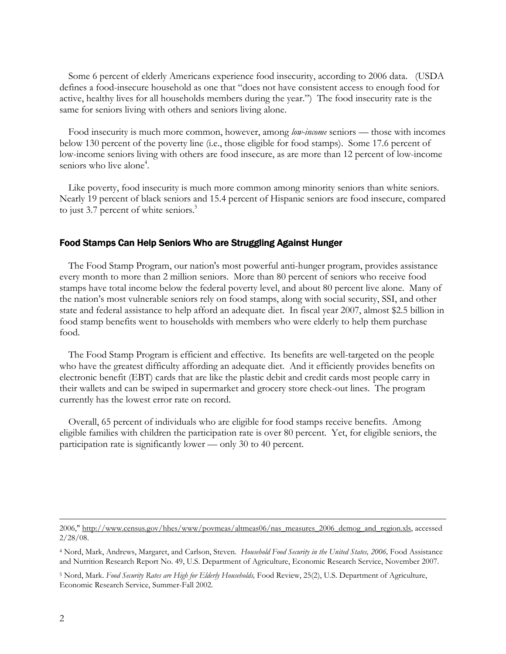Some 6 percent of elderly Americans experience food insecurity, according to 2006 data. (USDA defines a food-insecure household as one that "does not have consistent access to enough food for active, healthy lives for all households members during the year.") The food insecurity rate is the same for seniors living with others and seniors living alone.

Food insecurity is much more common, however, among *low-income* seniors — those with incomes below 130 percent of the poverty line (i.e., those eligible for food stamps). Some 17.6 percent of low-income seniors living with others are food insecure, as are more than 12 percent of low-income seniors who live alone<sup>4</sup>.

 Like poverty, food insecurity is much more common among minority seniors than white seniors. Nearly 19 percent of black seniors and 15.4 percent of Hispanic seniors are food insecure, compared to just 3.7 percent of white seniors.<sup>5</sup>

## Food Stamps Can Help Seniors Who are Struggling Against Hunger

 The Food Stamp Program, our nation's most powerful anti-hunger program, provides assistance every month to more than 2 million seniors. More than 80 percent of seniors who receive food stamps have total income below the federal poverty level, and about 80 percent live alone. Many of the nation's most vulnerable seniors rely on food stamps, along with social security, SSI, and other state and federal assistance to help afford an adequate diet. In fiscal year 2007, almost \$2.5 billion in food stamp benefits went to households with members who were elderly to help them purchase food.

 The Food Stamp Program is efficient and effective. Its benefits are well-targeted on the people who have the greatest difficulty affording an adequate diet. And it efficiently provides benefits on electronic benefit (EBT) cards that are like the plastic debit and credit cards most people carry in their wallets and can be swiped in supermarket and grocery store check-out lines. The program currently has the lowest error rate on record.

 Overall, 65 percent of individuals who are eligible for food stamps receive benefits. Among eligible families with children the participation rate is over 80 percent. Yet, for eligible seniors, the participation rate is significantly lower — only 30 to 40 percent.

 $\overline{a}$ 

<sup>2006,&</sup>quot; http://www.census.gov/hhes/www/povmeas/altmeas06/nas\_measures\_2006\_demog\_and\_region.xls, accessed 2/28/08.

<sup>&</sup>lt;sup>4</sup> Nord, Mark, Andrews, Margaret, and Carlson, Steven. Household Food Security in the United States, 2006, Food Assistance and Nutrition Research Report No. 49, U.S. Department of Agriculture, Economic Research Service, November 2007.

<sup>&</sup>lt;sup>5</sup> Nord, Mark. Food Security Rates are High for Elderly Households, Food Review, 25(2), U.S. Department of Agriculture, Economic Research Service, Summer-Fall 2002.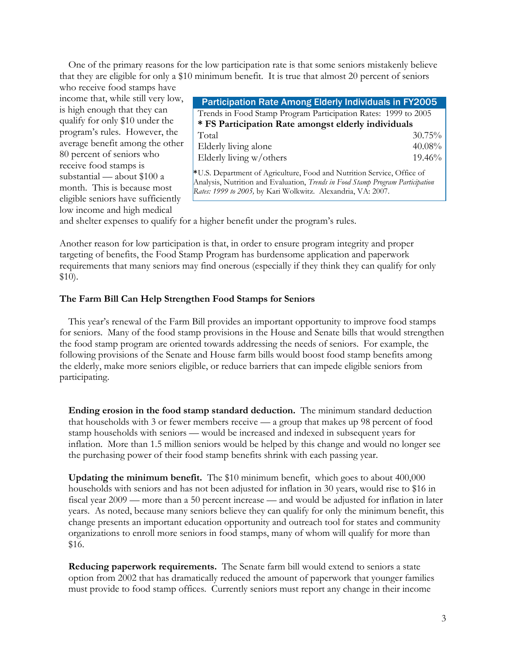One of the primary reasons for the low participation rate is that some seniors mistakenly believe that they are eligible for only a \$10 minimum benefit. It is true that almost 20 percent of seniors

who receive food stamps have income that, while still very low, is high enough that they can qualify for only \$10 under the program's rules. However, the average benefit among the other 80 percent of seniors who receive food stamps is substantial — about \$100 a month. This is because most eligible seniors have sufficiently low income and high medical

| <b>Participation Rate Among Elderly Individuals in FY2005</b>                                                                                                                                                            |        |
|--------------------------------------------------------------------------------------------------------------------------------------------------------------------------------------------------------------------------|--------|
| Trends in Food Stamp Program Participation Rates: 1999 to 2005                                                                                                                                                           |        |
| * FS Participation Rate amongst elderly individuals                                                                                                                                                                      |        |
| Total                                                                                                                                                                                                                    | 30.75% |
| Elderly living alone                                                                                                                                                                                                     | 40.08% |
| Elderly living w/others                                                                                                                                                                                                  | 19.46% |
| *U.S. Department of Agriculture, Food and Nutrition Service, Office of<br>Analysis, Nutrition and Evaluation, Trends in Food Stamp Program Participation<br>Rates: 1999 to 2005, by Kari Wolkwitz. Alexandria, VA: 2007. |        |

and shelter expenses to qualify for a higher benefit under the program's rules.

Another reason for low participation is that, in order to ensure program integrity and proper targeting of benefits, the Food Stamp Program has burdensome application and paperwork requirements that many seniors may find onerous (especially if they think they can qualify for only \$10).

## The Farm Bill Can Help Strengthen Food Stamps for Seniors

 This year's renewal of the Farm Bill provides an important opportunity to improve food stamps for seniors. Many of the food stamp provisions in the House and Senate bills that would strengthen the food stamp program are oriented towards addressing the needs of seniors. For example, the following provisions of the Senate and House farm bills would boost food stamp benefits among the elderly, make more seniors eligible, or reduce barriers that can impede eligible seniors from participating.

Ending erosion in the food stamp standard deduction. The minimum standard deduction that households with 3 or fewer members receive — a group that makes up 98 percent of food stamp households with seniors — would be increased and indexed in subsequent years for inflation. More than 1.5 million seniors would be helped by this change and would no longer see the purchasing power of their food stamp benefits shrink with each passing year.

Updating the minimum benefit. The \$10 minimum benefit, which goes to about 400,000 households with seniors and has not been adjusted for inflation in 30 years, would rise to \$16 in fiscal year 2009 — more than a 50 percent increase — and would be adjusted for inflation in later years. As noted, because many seniors believe they can qualify for only the minimum benefit, this change presents an important education opportunity and outreach tool for states and community organizations to enroll more seniors in food stamps, many of whom will qualify for more than \$16.

Reducing paperwork requirements. The Senate farm bill would extend to seniors a state option from 2002 that has dramatically reduced the amount of paperwork that younger families must provide to food stamp offices. Currently seniors must report any change in their income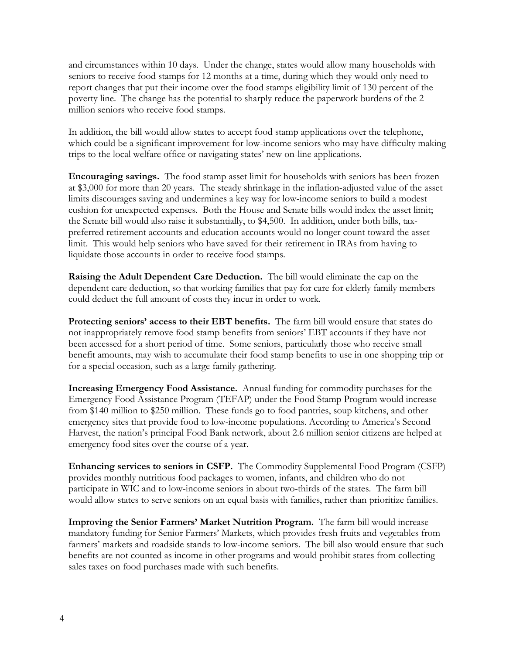and circumstances within 10 days. Under the change, states would allow many households with seniors to receive food stamps for 12 months at a time, during which they would only need to report changes that put their income over the food stamps eligibility limit of 130 percent of the poverty line. The change has the potential to sharply reduce the paperwork burdens of the 2 million seniors who receive food stamps.

In addition, the bill would allow states to accept food stamp applications over the telephone, which could be a significant improvement for low-income seniors who may have difficulty making trips to the local welfare office or navigating states' new on-line applications.

 Encouraging savings. The food stamp asset limit for households with seniors has been frozen at \$3,000 for more than 20 years. The steady shrinkage in the inflation-adjusted value of the asset limits discourages saving and undermines a key way for low-income seniors to build a modest cushion for unexpected expenses. Both the House and Senate bills would index the asset limit; the Senate bill would also raise it substantially, to \$4,500. In addition, under both bills, taxpreferred retirement accounts and education accounts would no longer count toward the asset limit. This would help seniors who have saved for their retirement in IRAs from having to liquidate those accounts in order to receive food stamps.

 Raising the Adult Dependent Care Deduction. The bill would eliminate the cap on the dependent care deduction, so that working families that pay for care for elderly family members could deduct the full amount of costs they incur in order to work.

 Protecting seniors' access to their EBT benefits. The farm bill would ensure that states do not inappropriately remove food stamp benefits from seniors' EBT accounts if they have not been accessed for a short period of time. Some seniors, particularly those who receive small benefit amounts, may wish to accumulate their food stamp benefits to use in one shopping trip or for a special occasion, such as a large family gathering.

 Increasing Emergency Food Assistance. Annual funding for commodity purchases for the Emergency Food Assistance Program (TEFAP) under the Food Stamp Program would increase from \$140 million to \$250 million. These funds go to food pantries, soup kitchens, and other emergency sites that provide food to low-income populations. According to America's Second Harvest, the nation's principal Food Bank network, about 2.6 million senior citizens are helped at emergency food sites over the course of a year.

 Enhancing services to seniors in CSFP. The Commodity Supplemental Food Program (CSFP) provides monthly nutritious food packages to women, infants, and children who do not participate in WIC and to low-income seniors in about two-thirds of the states. The farm bill would allow states to serve seniors on an equal basis with families, rather than prioritize families.

 Improving the Senior Farmers' Market Nutrition Program. The farm bill would increase mandatory funding for Senior Farmers' Markets, which provides fresh fruits and vegetables from farmers' markets and roadside stands to low-income seniors. The bill also would ensure that such benefits are not counted as income in other programs and would prohibit states from collecting sales taxes on food purchases made with such benefits.